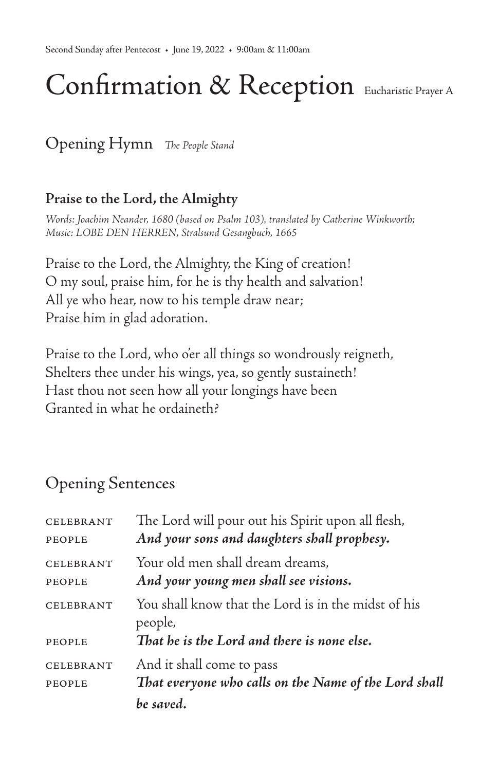# Confirmation & Reception Eucharistic Prayer A

Opening Hymn *The People Stand*

### **Praise to the Lord, the Almighty**

*Words: Joachim Neander, 1680 (based on Psalm 103), translated by Catherine Winkworth; Music: LOBE DEN HERREN, Stralsund Gesangbuch, 1665* 

Praise to the Lord, the Almighty, the King of creation! O my soul, praise him, for he is thy health and salvation! All ye who hear, now to his temple draw near; Praise him in glad adoration.

Praise to the Lord, who o'er all things so wondrously reigneth, Shelters thee under his wings, yea, so gently sustaineth! Hast thou not seen how all your longings have been Granted in what he ordaineth?

# Opening Sentences

| CELEBRANT | The Lord will pour out his Spirit upon all flesh,              |
|-----------|----------------------------------------------------------------|
| PEOPLE    | And your sons and daughters shall prophesy.                    |
| CELEBRANT | Your old men shall dream dreams,                               |
| PEOPLE    | And your young men shall see visions.                          |
| CELEBRANT | You shall know that the Lord is in the midst of his<br>people, |
| PEOPLE    | That he is the Lord and there is none else.                    |
| CELEBRANT | And it shall come to pass                                      |
| PEOPLE    | That everyone who calls on the Name of the Lord shall          |
|           | be saved.                                                      |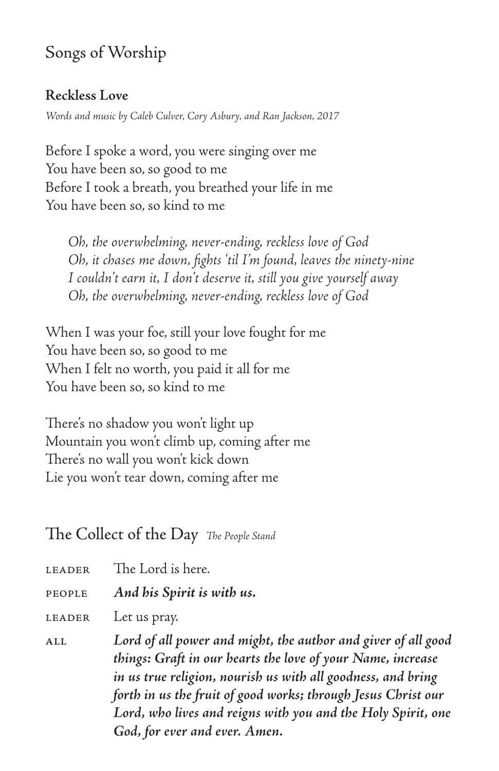# Songs of Worship

### **Reckless Love**

*Words and music by Caleb Culver, Cory Asbury, and Ran Jackson, 2017*

Before I spoke a word, you were singing over me You have been so, so good to me Before I took a breath, you breathed your life in me You have been so, so kind to me

*Oh, the overwhelming, never-ending, reckless love of God Oh, it chases me down, fights 'til I'm found, leaves the ninety-nine I couldn't earn it, I don't deserve it, still you give yourself away Oh, the overwhelming, never-ending, reckless love of God*

When I was your foe, still your love fought for me You have been so, so good to me When I felt no worth, you paid it all for me You have been so, so kind to me

There's no shadow you won't light up Mountain you won't climb up, coming after me There's no wall you won't kick down Lie you won't tear down, coming after me

# The Collect of the Day *The People Stand*

- leader The Lord is here.
- people *And his Spirit is with us.*
- LEADER Let us pray.
- all *Lord of all power and might, the author and giver of all good things: Graft in our hearts the love of your Name, increase in us true religion, nourish us with all goodness, and bring forth in us the fruit of good works; through Jesus Christ our Lord, who lives and reigns with you and the Holy Spirit, one God, for ever and ever. Amen.*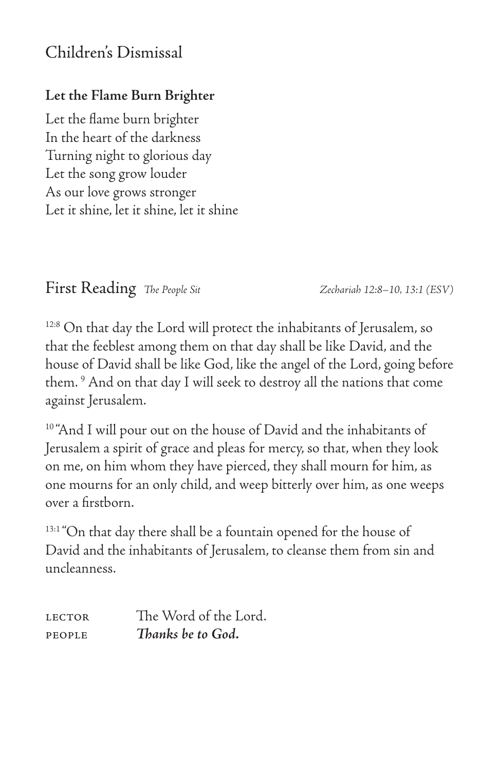# Children's Dismissal

### **Let the Flame Burn Brighter**

Let the flame burn brighter In the heart of the darkness Turning night to glorious day Let the song grow louder As our love grows stronger Let it shine, let it shine, let it shine

# First Reading *The People Sit Zechariah 12:8–10, 13:1 (ESV)*

<sup>12:8</sup> On that day the Lord will protect the inhabitants of Jerusalem, so that the feeblest among them on that day shall be like David, and the house of David shall be like God, like the angel of the Lord, going before them. 9 And on that day I will seek to destroy all the nations that come against Jerusalem.

<sup>10</sup> "And I will pour out on the house of David and the inhabitants of Jerusalem a spirit of grace and pleas for mercy, so that, when they look on me, on him whom they have pierced, they shall mourn for him, as one mourns for an only child, and weep bitterly over him, as one weeps over a firstborn.

<sup>13:1</sup> "On that day there shall be a fountain opened for the house of David and the inhabitants of Jerusalem, to cleanse them from sin and uncleanness.

| LECTOR | The Word of the Lord. |
|--------|-----------------------|
| PEOPLE | Thanks be to God.     |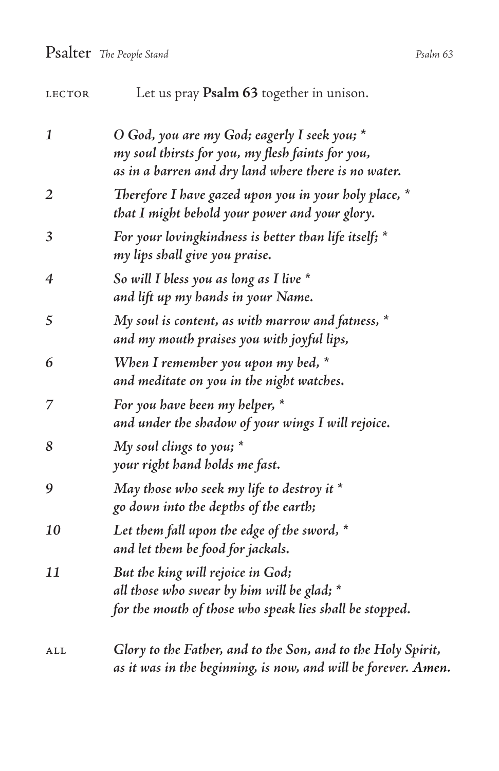# Psalter *The People Stand Psalm 63*

| LECTOR | Let us pray Psalm 63 together in unison.                                                                                                                  |
|--------|-----------------------------------------------------------------------------------------------------------------------------------------------------------|
| 1      | O God, you are my God; eagerly I seek you; *<br>my soul thirsts for you, my flesh faints for you,<br>as in a barren and dry land where there is no water. |
| 2      | Therefore I have gazed upon you in your holy place, *<br>that I might behold your power and your glory.                                                   |
| 3      | For your lovingkindness is better than life itself; *<br>my lips shall give you praise.                                                                   |
| 4      | So will I bless you as long as I live *<br>and lift up my hands in your Name.                                                                             |
| 5      | My soul is content, as with marrow and fatness, $*$<br>and my mouth praises you with joyful lips,                                                         |
| 6      | When I remember you upon my bed, *<br>and meditate on you in the night watches.                                                                           |
| 7      | For you have been my helper, *<br>and under the shadow of your wings I will rejoice.                                                                      |
| 8      | My soul clings to you; *<br>your right hand holds me fast.                                                                                                |
| 9      | May those who seek my life to destroy it $*$<br>go down into the depths of the earth;                                                                     |
| 10     | Let them fall upon the edge of the sword, $*$<br>and let them be food for jackals.                                                                        |
| 11     | But the king will rejoice in God;<br>all those who swear by him will be glad; *<br>for the mouth of those who speak lies shall be stopped.                |
| ALL    | Glory to the Father, and to the Son, and to the Holy Spirit,<br>as it was in the beginning, is now, and will be forever. Amen.                            |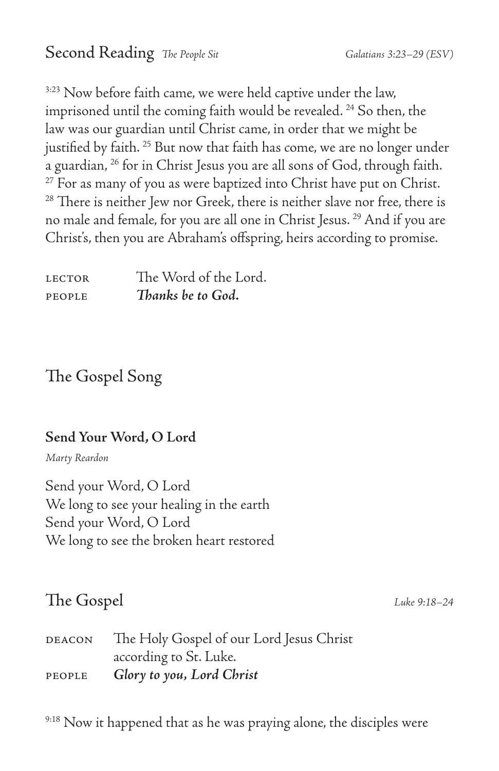3:23 Now before faith came, we were held captive under the law, imprisoned until the coming faith would be revealed. 24 So then, the law was our guardian until Christ came, in order that we might be justified by faith.<sup>25</sup> But now that faith has come, we are no longer under a guardian, 26 for in Christ Jesus you are all sons of God, through faith.  $27$  For as many of you as were baptized into Christ have put on Christ. <sup>28</sup> There is neither Jew nor Greek, there is neither slave nor free, there is no male and female, for you are all one in Christ Jesus.<sup>29</sup> And if you are Christ's, then you are Abraham's offspring, heirs according to promise.

lector The Word of the Lord. people *Thanks be to God.*

# The Gospel Song

### **Send Your Word, O Lord**

*Marty Reardon*

Send your Word, O Lord We long to see your healing in the earth Send your Word, O Lord We long to see the broken heart restored

# The Gospel *Luke 9:18–24*

### DEACON The Holy Gospel of our Lord Jesus Christ according to St. Luke. people *Glory to you, Lord Christ*

9:18 Now it happened that as he was praying alone, the disciples were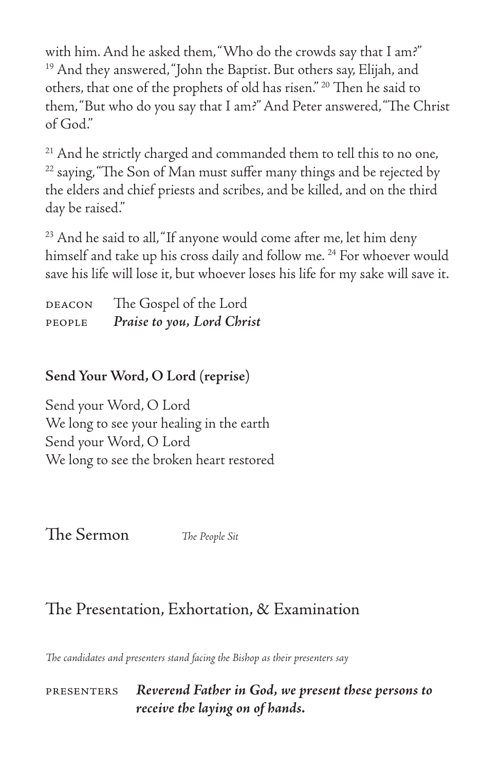with him. And he asked them, "Who do the crowds say that I am?" <sup>19</sup> And they answered, "John the Baptist. But others say, Elijah, and others, that one of the prophets of old has risen." 20 Then he said to them, "But who do you say that I am?" And Peter answered, "The Christ of God."

<sup>21</sup> And he strictly charged and commanded them to tell this to no one,  $22$  saying, "The Son of Man must suffer many things and be rejected by the elders and chief priests and scribes, and be killed, and on the third day be raised."

<sup>23</sup> And he said to all, "If anyone would come after me, let him deny himself and take up his cross daily and follow me.<sup>24</sup> For whoever would save his life will lose it, but whoever loses his life for my sake will save it.

| <b>DEACON</b> | The Gospel of the Lord     |
|---------------|----------------------------|
| PEOPLE        | Praise to you, Lord Christ |

### **Send Your Word, O Lord (reprise)**

Send your Word, O Lord We long to see your healing in the earth Send your Word, O Lord We long to see the broken heart restored

The Sermon *The People Sit*

# The Presentation, Exhortation, & Examination

*The candidates and presenters stand facing the Bishop as their presenters say*

### presenters *Reverend Father in God, we present these persons to receive the laying on of hands.*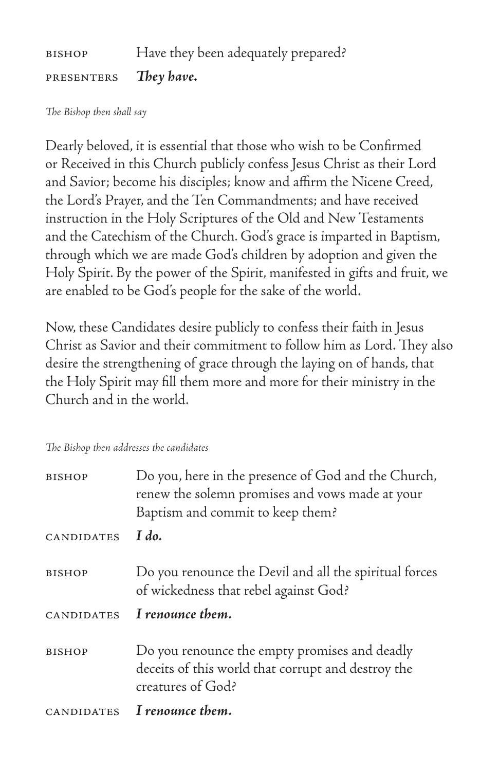# bishop Have they been adequately prepared?

#### presenters *They have.*

#### *The Bishop then shall say*

Dearly beloved, it is essential that those who wish to be Confirmed or Received in this Church publicly confess Jesus Christ as their Lord and Savior; become his disciples; know and affirm the Nicene Creed, the Lord's Prayer, and the Ten Commandments; and have received instruction in the Holy Scriptures of the Old and New Testaments and the Catechism of the Church. God's grace is imparted in Baptism, through which we are made God's children by adoption and given the Holy Spirit. By the power of the Spirit, manifested in gifts and fruit, we are enabled to be God's people for the sake of the world.

Now, these Candidates desire publicly to confess their faith in Jesus Christ as Savior and their commitment to follow him as Lord. They also desire the strengthening of grace through the laying on of hands, that the Holy Spirit may fill them more and more for their ministry in the Church and in the world.

*The Bishop then addresses the candidates*

| <b>BISHOP</b>     | Do you, here in the presence of God and the Church,<br>renew the solemn promises and vows made at your<br>Baptism and commit to keep them? |
|-------------------|--------------------------------------------------------------------------------------------------------------------------------------------|
| <b>CANDIDATES</b> | Ido.                                                                                                                                       |
| <b>BISHOP</b>     | Do you renounce the Devil and all the spiritual forces<br>of wickedness that rebel against God?                                            |
| <b>CANDIDATES</b> | I renounce them.                                                                                                                           |
| <b>BISHOP</b>     | Do you renounce the empty promises and deadly<br>deceits of this world that corrupt and destroy the<br>creatures of God?                   |
| <b>CANDIDATES</b> | I renounce them.                                                                                                                           |
|                   |                                                                                                                                            |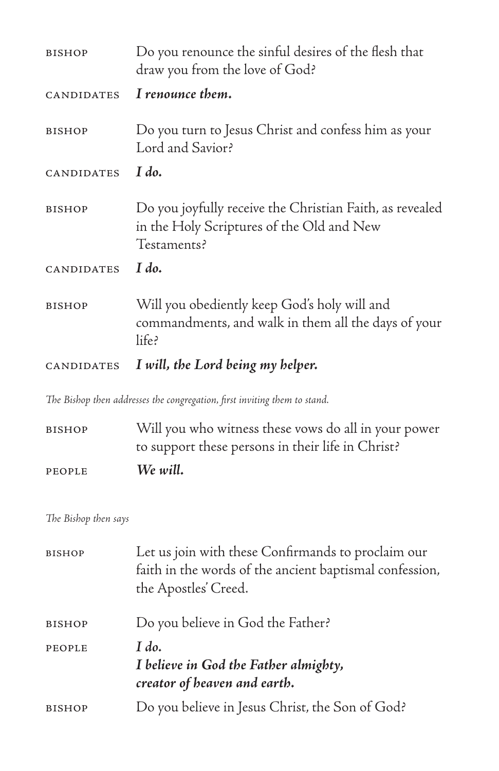| <b>BISHOP</b>     | Do you renounce the sinful desires of the flesh that<br>draw you from the love of God?                               |
|-------------------|----------------------------------------------------------------------------------------------------------------------|
| CANDIDATES        | I renounce them.                                                                                                     |
| <b>BISHOP</b>     | Do you turn to Jesus Christ and confess him as your<br>Lord and Savior?                                              |
| <b>CANDIDATES</b> | I do.                                                                                                                |
| <b>BISHOP</b>     | Do you joyfully receive the Christian Faith, as revealed<br>in the Holy Scriptures of the Old and New<br>Testaments? |
| <b>CANDIDATES</b> | Ido.                                                                                                                 |
| <b>BISHOP</b>     | Will you obediently keep God's holy will and<br>commandments, and walk in them all the days of your<br>life?         |
| <b>CANDIDATES</b> | I will, the Lord being my helper.                                                                                    |

*The Bishop then addresses the congregation, first inviting them to stand.*

| <b>BISHOP</b> | Will you who witness these vows do all in your power |
|---------------|------------------------------------------------------|
|               | to support these persons in their life in Christ?    |
| PEOPLE        | We will.                                             |

*The Bishop then says*

| <b>BISHOP</b> | Let us join with these Confirmands to proclaim our<br>faith in the words of the ancient baptismal confession,<br>the Apostles' Creed. |
|---------------|---------------------------------------------------------------------------------------------------------------------------------------|
| <b>BISHOP</b> | Do you believe in God the Father?                                                                                                     |
| PEOPLE        | $I$ do.<br>I believe in God the Father almighty,<br>creator of heaven and earth.                                                      |
| <b>BISHOP</b> | Do you believe in Jesus Christ, the Son of God?                                                                                       |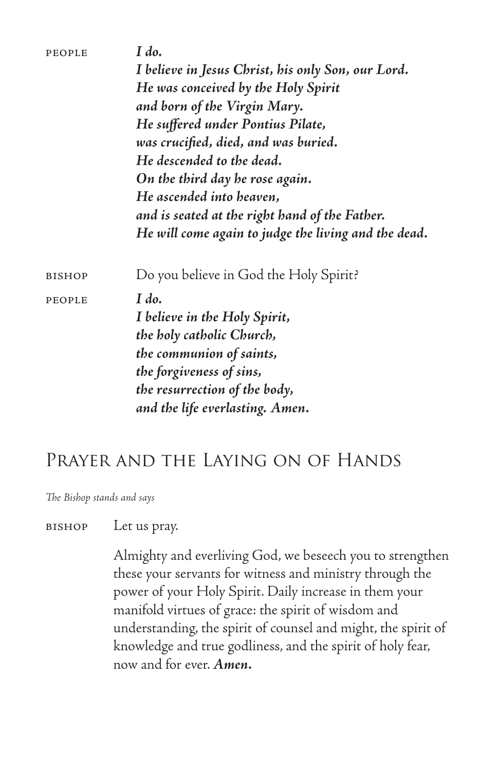| PEOPLE        | I do.                                                |
|---------------|------------------------------------------------------|
|               | I believe in Jesus Christ, his only Son, our Lord.   |
|               | He was conceived by the Holy Spirit                  |
|               | and born of the Virgin Mary.                         |
|               | He suffered under Pontius Pilate,                    |
|               | was crucified, died, and was buried.                 |
|               | He descended to the dead.                            |
|               | On the third day he rose again.                      |
|               | He ascended into heaven,                             |
|               | and is seated at the right hand of the Father.       |
|               | He will come again to judge the living and the dead. |
| <b>BISHOP</b> | Do you believe in God the Holy Spirit?               |
| PEOPLE        | I do.                                                |
|               | I believe in the Holy Spirit,                        |
|               | the holy catholic Church,                            |
|               | the communion of saints,                             |
|               | the forgiveness of sins,                             |
|               | the resurrection of the body,                        |
|               | and the life everlasting. Amen.                      |

# Prayer and the Laying on of Hands

*The Bishop stands and says*

#### bishop Let us pray.

Almighty and everliving God, we beseech you to strengthen these your servants for witness and ministry through the power of your Holy Spirit. Daily increase in them your manifold virtues of grace: the spirit of wisdom and understanding, the spirit of counsel and might, the spirit of knowledge and true godliness, and the spirit of holy fear, now and for ever. *Amen.*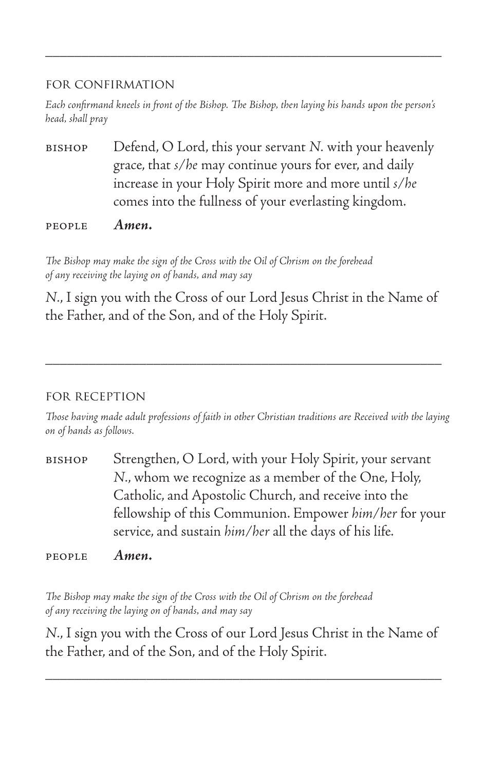#### for confirmation

*Each confirmand kneels in front of the Bishop. The Bishop, then laying his hands upon the person's head, shall pray*

\_\_\_\_\_\_\_\_\_\_\_\_\_\_\_\_\_\_\_\_\_\_\_\_\_\_\_\_\_\_\_\_\_\_\_\_\_\_\_\_\_\_\_\_\_\_\_\_\_\_\_\_\_\_\_

- bishop Defend, O Lord, this your servant *N.* with your heavenly grace, that *s/he* may continue yours for ever, and daily increase in your Holy Spirit more and more until *s/he* comes into the fullness of your everlasting kingdom.
- people *Amen.*

*The Bishop may make the sign of the Cross with the Oil of Chrism on the forehead of any receiving the laying on of hands, and may say*

*N.*, I sign you with the Cross of our Lord Jesus Christ in the Name of the Father, and of the Son, and of the Holy Spirit.

\_\_\_\_\_\_\_\_\_\_\_\_\_\_\_\_\_\_\_\_\_\_\_\_\_\_\_\_\_\_\_\_\_\_\_\_\_\_\_\_\_\_\_\_\_\_\_\_\_\_\_\_\_\_\_

#### for reception

*Those having made adult professions of faith in other Christian traditions are Received with the laying on of hands as follows.*

bishop Strengthen, O Lord, with your Holy Spirit, your servant *N.*, whom we recognize as a member of the One, Holy, Catholic, and Apostolic Church, and receive into the fellowship of this Communion. Empower *him/her* for your service, and sustain *him/her* all the days of his life.

people *Amen.*

*The Bishop may make the sign of the Cross with the Oil of Chrism on the forehead of any receiving the laying on of hands, and may say*

*N.*, I sign you with the Cross of our Lord Jesus Christ in the Name of the Father, and of the Son, and of the Holy Spirit.

\_\_\_\_\_\_\_\_\_\_\_\_\_\_\_\_\_\_\_\_\_\_\_\_\_\_\_\_\_\_\_\_\_\_\_\_\_\_\_\_\_\_\_\_\_\_\_\_\_\_\_\_\_\_\_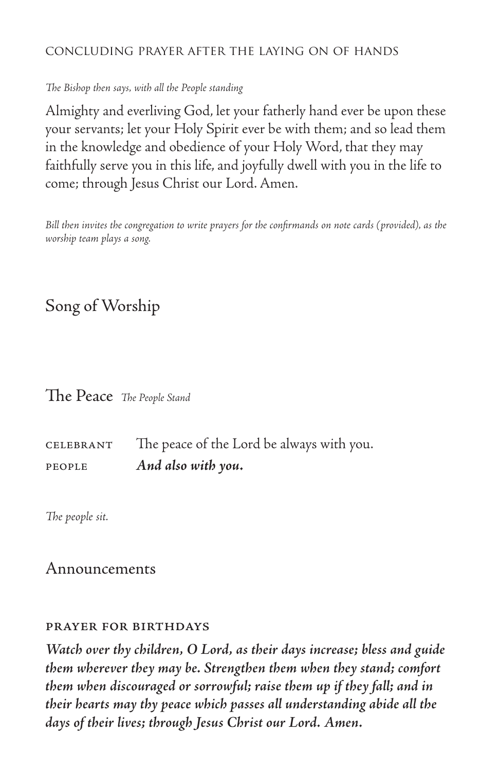#### concluding prayer after the laying on of hands

*The Bishop then says, with all the People standing*

Almighty and everliving God, let your fatherly hand ever be upon these your servants; let your Holy Spirit ever be with them; and so lead them in the knowledge and obedience of your Holy Word, that they may faithfully serve you in this life, and joyfully dwell with you in the life to come; through Jesus Christ our Lord. Amen.

*Bill then invites the congregation to write prayers for the confirmands on note cards (provided), as the worship team plays a song.*

Song of Worship

The Peace *The People Stand*

celebrant The peace of the Lord be always with you. people *And also with you.*

*The people sit.*

#### Announcements

#### prayer for birthdays

*Watch over thy children, O Lord, as their days increase; bless and guide them wherever they may be. Strengthen them when they stand; comfort them when discouraged or sorrowful; raise them up if they fall; and in their hearts may thy peace which passes all understanding abide all the days of their lives; through Jesus Christ our Lord. Amen.*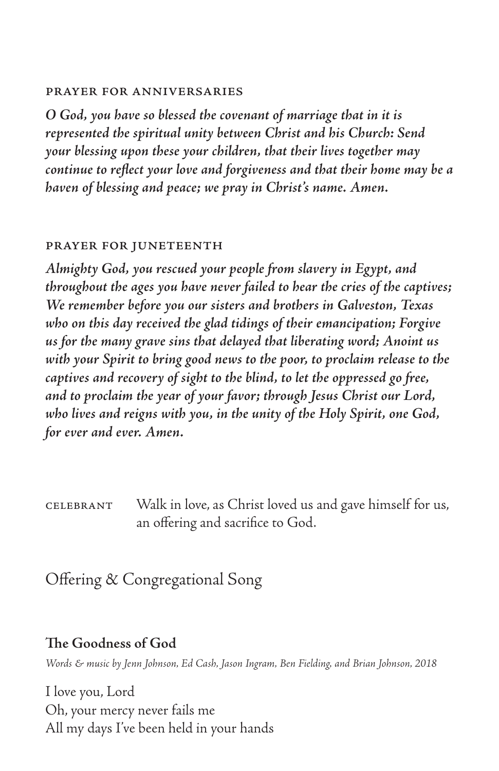#### prayer for anniversaries

*O God, you have so blessed the covenant of marriage that in it is represented the spiritual unity between Christ and his Church: Send your blessing upon these your children, that their lives together may continue to reflect your love and forgiveness and that their home may be a haven of blessing and peace; we pray in Christ's name. Amen.*

#### prayer for juneteenth

*Almighty God, you rescued your people from slavery in Egypt, and throughout the ages you have never failed to hear the cries of the captives; We remember before you our sisters and brothers in Galveston, Texas who on this day received the glad tidings of their emancipation; Forgive us for the many grave sins that delayed that liberating word; Anoint us with your Spirit to bring good news to the poor, to proclaim release to the captives and recovery of sight to the blind, to let the oppressed go free, and to proclaim the year of your favor; through Jesus Christ our Lord, who lives and reigns with you, in the unity of the Holy Spirit, one God, for ever and ever. Amen.*

celebrant Walk in love, as Christ loved us and gave himself for us, an offering and sacrifice to God.

Offering & Congregational Song

#### **The Goodness of God**

*Words & music by Jenn Johnson, Ed Cash, Jason Ingram, Ben Fielding, and Brian Johnson, 2018*

I love you, Lord Oh, your mercy never fails me All my days I've been held in your hands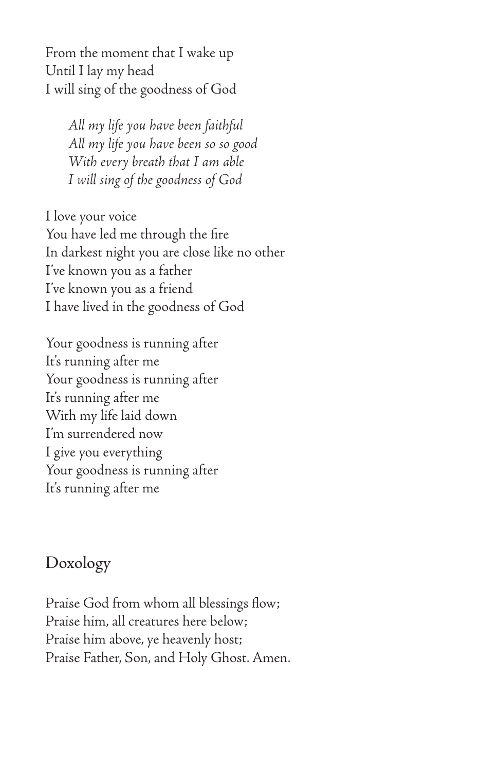From the moment that I wake up Until I lay my head I will sing of the goodness of God

> *All my life you have been faithful All my life you have been so so good With every breath that I am able I will sing of the goodness of God*

I love your voice You have led me through the fire In darkest night you are close like no other I've known you as a father I've known you as a friend I have lived in the goodness of God

Your goodness is running after It's running after me Your goodness is running after It's running after me With my life laid down I'm surrendered now I give you everything Your goodness is running after It's running after me

### Doxology

Praise God from whom all blessings flow; Praise him, all creatures here below; Praise him above, ye heavenly host; Praise Father, Son, and Holy Ghost. Amen.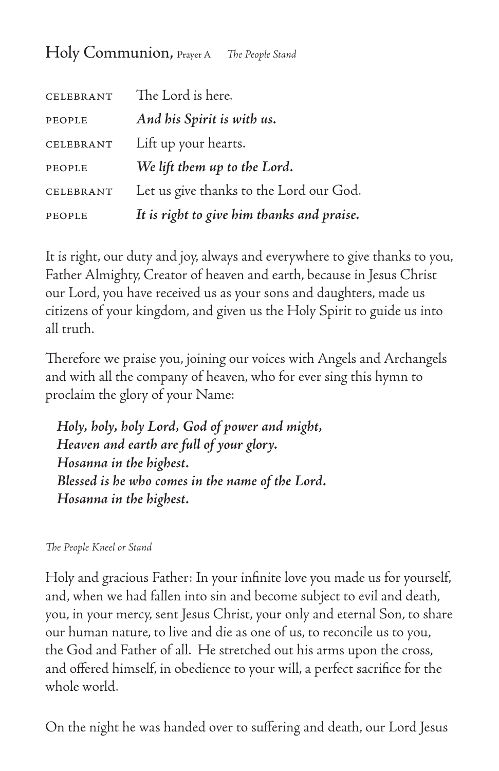### Holy Communion, Prayer A *The People Stand*

| CELEBRANT | The Lord is here.                          |
|-----------|--------------------------------------------|
| PEOPLE    | And his Spirit is with us.                 |
| CELEBRANT | Lift up your hearts.                       |
| PEOPLE    | We lift them up to the Lord.               |
| CELEBRANT | Let us give thanks to the Lord our God.    |
| PEOPLE    | It is right to give him thanks and praise. |

It is right, our duty and joy, always and everywhere to give thanks to you, Father Almighty, Creator of heaven and earth, because in Jesus Christ our Lord, you have received us as your sons and daughters, made us citizens of your kingdom, and given us the Holy Spirit to guide us into all truth.

Therefore we praise you, joining our voices with Angels and Archangels and with all the company of heaven, who for ever sing this hymn to proclaim the glory of your Name:

*Holy, holy, holy Lord, God of power and might, Heaven and earth are full of your glory. Hosanna in the highest. Blessed is he who comes in the name of the Lord. Hosanna in the highest.* 

#### *The People Kneel or Stand*

Holy and gracious Father: In your infinite love you made us for yourself, and, when we had fallen into sin and become subject to evil and death, you, in your mercy, sent Jesus Christ, your only and eternal Son, to share our human nature, to live and die as one of us, to reconcile us to you, the God and Father of all. He stretched out his arms upon the cross, and offered himself, in obedience to your will, a perfect sacrifice for the whole world.

On the night he was handed over to suffering and death, our Lord Jesus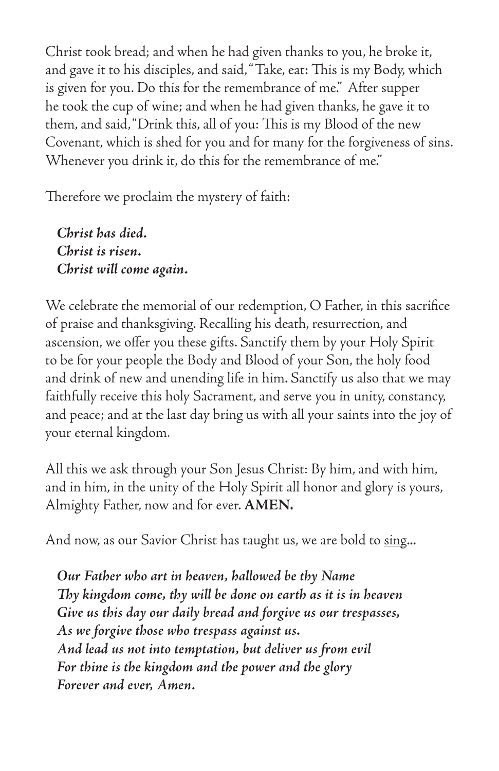Christ took bread; and when he had given thanks to you, he broke it, and gave it to his disciples, and said, "Take, eat: This is my Body, which is given for you. Do this for the remembrance of me." After supper he took the cup of wine; and when he had given thanks, he gave it to them, and said, "Drink this, all of you: This is my Blood of the new Covenant, which is shed for you and for many for the forgiveness of sins. Whenever you drink it, do this for the remembrance of me."

Therefore we proclaim the mystery of faith:

*Christ has died. Christ is risen. Christ will come again.*

We celebrate the memorial of our redemption, O Father, in this sacrifice of praise and thanksgiving. Recalling his death, resurrection, and ascension, we offer you these gifts. Sanctify them by your Holy Spirit to be for your people the Body and Blood of your Son, the holy food and drink of new and unending life in him. Sanctify us also that we may faithfully receive this holy Sacrament, and serve you in unity, constancy, and peace; and at the last day bring us with all your saints into the joy of your eternal kingdom.

All this we ask through your Son Jesus Christ: By him, and with him, and in him, in the unity of the Holy Spirit all honor and glory is yours, Almighty Father, now and for ever. **AMEN.**

And now, as our Savior Christ has taught us, we are bold to sing...

*Our Father who art in heaven, hallowed be thy Name Thy kingdom come, thy will be done on earth as it is in heaven Give us this day our daily bread and forgive us our trespasses, As we forgive those who trespass against us. And lead us not into temptation, but deliver us from evil For thine is the kingdom and the power and the glory Forever and ever, Amen.*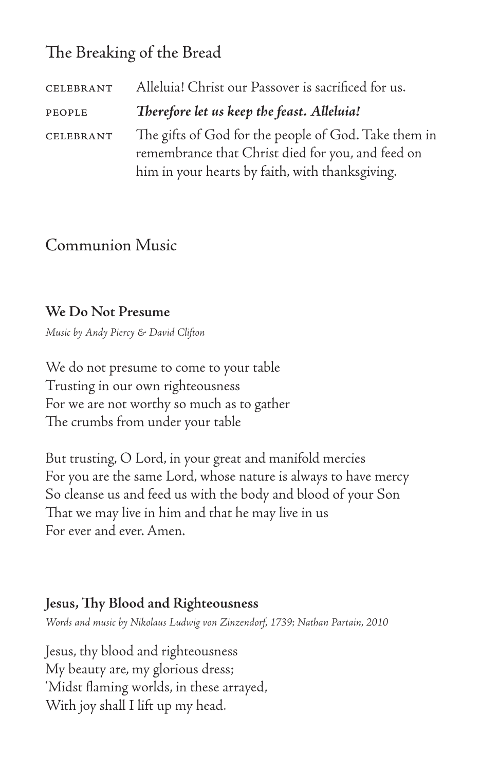# The Breaking of the Bread

| <b>CELEBRANT</b> | Alleluia! Christ our Passover is sacrificed for us.                                                                                                          |
|------------------|--------------------------------------------------------------------------------------------------------------------------------------------------------------|
| PEOPLE           | Therefore let us keep the feast. Alleluia!                                                                                                                   |
| CELEBRANT        | The gifts of God for the people of God. Take them in<br>remembrance that Christ died for you, and feed on<br>him in your hearts by faith, with thanksgiving. |

# Communion Music

### **We Do Not Presume**

*Music by Andy Piercy & David Clifton*

We do not presume to come to your table Trusting in our own righteousness For we are not worthy so much as to gather The crumbs from under your table

But trusting, O Lord, in your great and manifold mercies For you are the same Lord, whose nature is always to have mercy So cleanse us and feed us with the body and blood of your Son That we may live in him and that he may live in us For ever and ever. Amen.

### **Jesus, Thy Blood and Righteousness**

*Words and music by Nikolaus Ludwig von Zinzendorf, 1739; Nathan Partain, 2010*

Jesus, thy blood and righteousness My beauty are, my glorious dress; 'Midst flaming worlds, in these arrayed, With joy shall I lift up my head.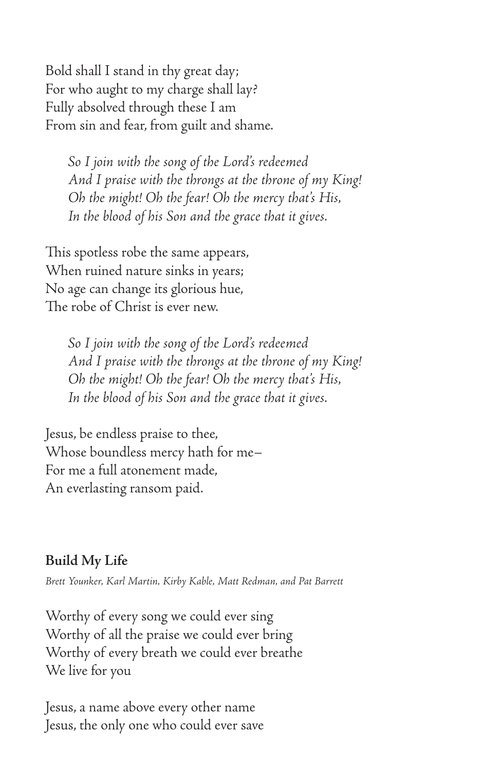Bold shall I stand in thy great day; For who aught to my charge shall lay? Fully absolved through these I am From sin and fear, from guilt and shame.

*So I join with the song of the Lord's redeemed And I praise with the throngs at the throne of my King! Oh the might! Oh the fear! Oh the mercy that's His, In the blood of his Son and the grace that it gives.*

This spotless robe the same appears, When ruined nature sinks in years; No age can change its glorious hue, The robe of Christ is ever new.

> *So I join with the song of the Lord's redeemed And I praise with the throngs at the throne of my King! Oh the might! Oh the fear! Oh the mercy that's His, In the blood of his Son and the grace that it gives.*

Jesus, be endless praise to thee, Whose boundless mercy hath for me– For me a full atonement made, An everlasting ransom paid.

### **Build My Life**

*Brett Younker, Karl Martin, Kirby Kable, Matt Redman, and Pat Barrett*

Worthy of every song we could ever sing Worthy of all the praise we could ever bring Worthy of every breath we could ever breathe We live for you

Jesus, a name above every other name Jesus, the only one who could ever save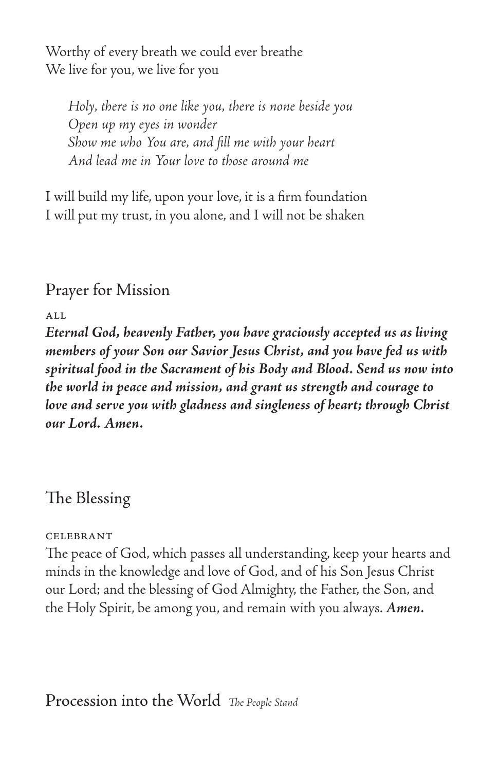Worthy of every breath we could ever breathe We live for you, we live for you

*Holy, there is no one like you, there is none beside you Open up my eyes in wonder Show me who You are, and fill me with your heart And lead me in Your love to those around me*

I will build my life, upon your love, it is a firm foundation I will put my trust, in you alone, and I will not be shaken

# Prayer for Mission

### ALL

*Eternal God, heavenly Father, you have graciously accepted us as living members of your Son our Savior Jesus Christ, and you have fed us with spiritual food in the Sacrament of his Body and Blood. Send us now into the world in peace and mission, and grant us strength and courage to love and serve you with gladness and singleness of heart; through Christ our Lord. Amen.*

# The Blessing

#### celebrant

The peace of God, which passes all understanding, keep your hearts and minds in the knowledge and love of God, and of his Son Jesus Christ our Lord; and the blessing of God Almighty, the Father, the Son, and the Holy Spirit, be among you, and remain with you always. *Amen.*

Procession into the World *The People Stand*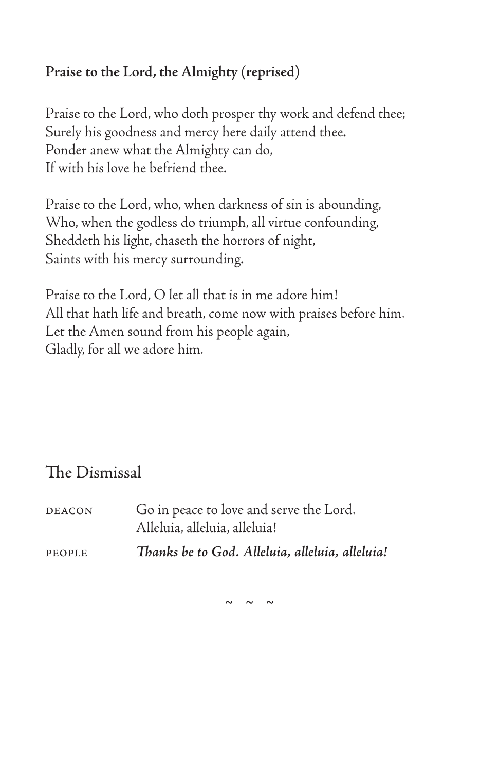### **Praise to the Lord, the Almighty (reprised)**

Praise to the Lord, who doth prosper thy work and defend thee; Surely his goodness and mercy here daily attend thee. Ponder anew what the Almighty can do, If with his love he befriend thee.

Praise to the Lord, who, when darkness of sin is abounding, Who, when the godless do triumph, all virtue confounding, Sheddeth his light, chaseth the horrors of night, Saints with his mercy surrounding.

Praise to the Lord, O let all that is in me adore him! All that hath life and breath, come now with praises before him. Let the Amen sound from his people again, Gladly, for all we adore him.

# The Dismissal

| <b>DEACON</b> | Go in peace to love and serve the Lord.<br>Alleluia, alleluia, alleluia! |
|---------------|--------------------------------------------------------------------------|
| PEOPLE        | Thanks be to God. Alleluia, alleluia, alleluia!                          |

*~ ~ ~*